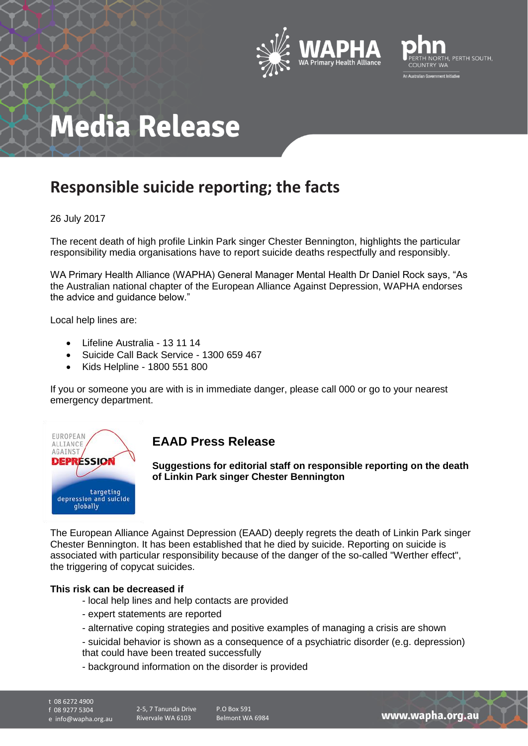



## **Media Release**

### **Responsible suicide reporting; the facts**

#### 26 July 2017

The recent death of high profile Linkin Park singer Chester Bennington, highlights the particular responsibility media organisations have to report suicide deaths respectfully and responsibly.

WA Primary Health Alliance (WAPHA) General Manager Mental Health Dr Daniel Rock says, "As the Australian national chapter of the European Alliance Against Depression, WAPHA endorses the advice and guidance below."

Local help lines are:

- Lifeline Australia 13 11 14
- Suicide Call Back Service 1300 659 467
- Kids Helpline 1800 551 800

If you or someone you are with is in immediate danger, please call 000 or go to your nearest emergency department.



### **EAAD Press Release**

**Suggestions for editorial staff on responsible reporting on the death of Linkin Park singer Chester Bennington** 

The European Alliance Against Depression (EAAD) deeply regrets the death of Linkin Park singer Chester Bennington. It has been established that he died by suicide. Reporting on suicide is associated with particular responsibility because of the danger of the so-called "Werther effect", the triggering of copycat suicides.

#### **This risk can be decreased if**

- local help lines and help contacts are provided
- expert statements are reported
- alternative coping strategies and positive examples of managing a crisis are shown
- suicidal behavior is shown as a consequence of a psychiatric disorder (e.g. depression) that could have been treated successfully
- background information on the disorder is provided
- 

t 08 6272 4900 f 08 9277 5304

e info@wapha.org.au

P.O Box 591 Belmont WA 6984

www.wapha.org.au